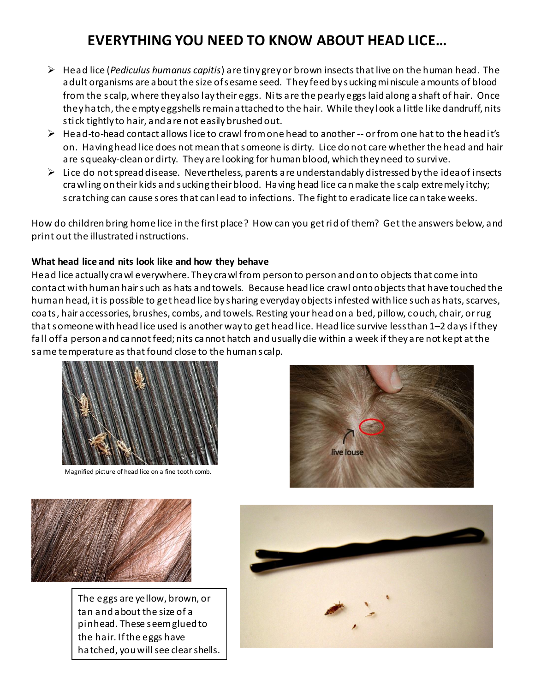# **EVERYTHING YOU NEED TO KNOW ABOUT HEAD LICE…**

- Head lice (*Pediculus humanus capitis*) are tiny grey or brown insects that live on the human head. The adult organisms are about the size of sesame seed. They feed by sucking miniscule amounts of blood from the scalp, where they also lay their eggs. Nits are the pearly eggs laid along a shaft of hair. Once they hatch, the empty eggshells remain attached to the hair. While they look a little like dandruff, nits stick tightly to hair, and are not easily brushed out.
- $\triangleright$  Head-to-head contact allows lice to crawl from one head to another -- or from one hat to the head it's on. Having head lice does not mean that someone is dirty. Lice do not care whether the head and hair are squeaky-clean or dirty. They are looking for human blood, which they need to survive.
- $\triangleright$  Lice do not spread disease. Nevertheless, parents are understandably distressed by the idea of insects crawling on their kids and sucking their blood. Having head lice can make the scalp extremely itchy; scratching can cause sores that can lead to infections. The fight to eradicate lice can take weeks.

How do children bring home lice in the first place? How can you get rid of them? Get the answers below, and print out the illustrated instructions.

# **What head lice and nits look like and how they behave**

Head lice actually crawl everywhere. They crawl from person to person and on to objects that come into contact with human hair such as hats and towels. Because head lice crawl onto objects that have touched the human head, it is possible to get head lice by sharing everyday objects infested with lice such as hats, scarves, coats, hair accessories, brushes, combs, and towels. Resting your head on a bed, pillow, couch, chair, or rug that someone with head lice used is another way to get head lice. Head lice survive less than 1–2 days if they fall off a person and cannot feed; nits cannot hatch and usually die within a week if they are not kept at the same temperature as that found close to the human scalp.



Magnified picture of head lice on a fine tooth comb.





The eggs are yellow, brown, or tan and about the size of a pinhead. These seem glued to the hair. If the eggs have hatched, you will see clear shells.

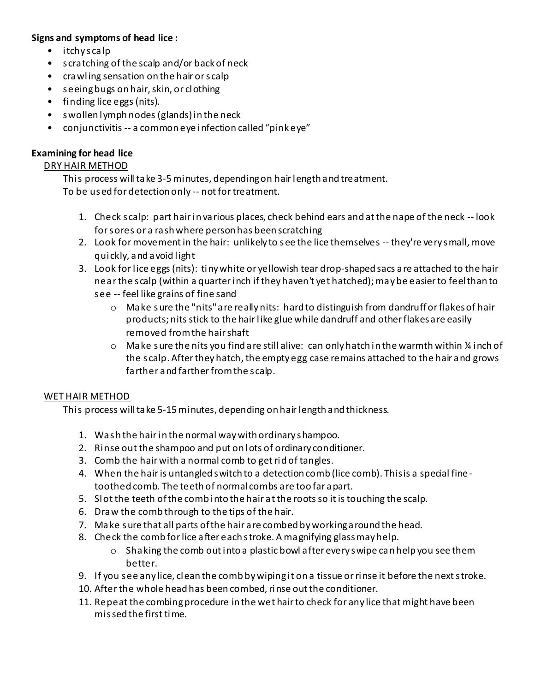# **Signs and symptoms of head lice :**

- itchyscalp
- scratching of the scalp and/or back of neck
- crawling sensation on the hair or scalp
- seeing bugs on hair, skin, or clothing
- finding lice eggs (nits).
- swollen lymph nodes (glands) in the neck
- conjunctivitis -- a common eye infection called "pink eye"

# **Examining for head lice**

# DRY HAIR METHOD

This process will take 3-5 minutes, depending on hair length and treatment. To be used for detection only -- not for treatment.

- 1. Check scalp: part hair in various places, check behind ears and at the nape of the neck -- look for sores or a rash where person has been scratching
- 2. Look for movement in the hair: unlikely to see the lice themselves -- they're very small, move quickly, and avoid light
- 3. Look for lice eggs (nits): tiny white or yellowish tear drop-shaped sacs are attached to the hair near the scalp (within a quarter inch if they haven't yet hatched); may be easier to feel than to
	- see -- feel like grains of fine sand
		- o Make sure the "nits" are really nits: hard to distinguish from dandruff or flakes of hair products; nits stick to the hair like glue while dandruff and other flakes are easily removed from the hair shaft
		- $\circ$  Make sure the nits you find are still alive: can only hatch in the warmth within  $\frac{1}{4}$  inch of the scalp. After they hatch, the empty egg case remains attached to the hair and grows farther and farther from the scalp.

# WET HAIR METHOD

This process will take 5-15 minutes, depending on hair length and thickness.

- 1. Wash the hair in the normal way with ordinary shampoo.
- 2. Rinse out the shampoo and put on lots of ordinary conditioner.
- 3. Comb the hair with a normal comb to get rid of tangles.
- 4. When the hair is untangled switch to a detection comb (lice comb). This is a special finetoothed comb. The teeth of normal combs are too far apart.
- 5. Slot the teeth of the comb into the hair at the roots so it is touching the scalp.
- 6. Draw the comb through to the tips of the hair.
- 7. Make sure that all parts of the hair are combed by working around the head.
- 8. Check the comb for lice after each stroke. A magnifying glass may help.
	- $\circ$  Shaking the comb out into a plastic bowl after every swipe can help you see them better.
- 9. If you see any lice, clean the comb by wiping it on a tissue or rinse it before the next stroke.
- 10. After the whole head has been combed, rinse out the conditioner.
- 11. Repeat the combing procedure in the wet hair to check for any lice that might have been missed the first time.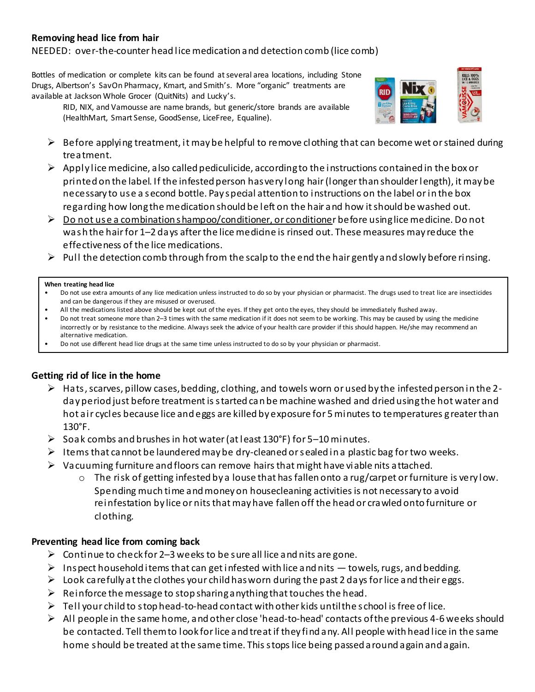### **Removing head lice from hair**

#### NEEDED: over-the-counter head lice medication and detection comb (lice comb)

Bottles of medication or complete kits can be found at several area locations, including Stone Drugs, Albertson's SavOn Pharmacy, Kmart, and Smith's. More "organic" treatments are available at Jackson Whole Grocer (QuitNits) and Lucky's.

RID, NIX, and Vamousse are name brands, but generic/store brands are available (HealthMart, Smart Sense, GoodSense, LiceFree, Equaline).



- $\triangleright$  Before applying treatment, it may be helpful to remove clothing that can become wet or stained during treatment.
- $\triangleright$  Apply lice medicine, also called pediculicide, according to the instructions contained in the box or printed on the label. If the infested person has very long hair (longer than shoulder length), it may be necessary to use a second bottle. Pay special attention to instructions on the label or in the box regarding how long the medication should be left on the hair and how it should be washed out.
- $\triangleright$  Do not use a combination shampoo/conditioner, or conditioner before using lice medicine. Do not wash the hair for 1–2 days after the lice medicine is rinsed out. These measures may reduce the effectiveness of the lice medications.
- $\triangleright$  Pull the detection comb through from the scalp to the end the hair gently and slowly before rinsing.

#### **When treating head lice**

- Do not use extra amounts of any lice medication unless instructed to do so by your physician or pharmacist. The drugs used to treat lice are insecticides and can be dangerous if they are misused or overused.
- All the medications listed above should be kept out of the eyes. If they get onto the eyes, they should be immediately flushed away.
- Do not treat someone more than 2–3 times with the same medication if it does not seem to be working. This may be caused by using the medicine incorrectly or by resistance to the medicine. Always seek the advice of your health care provider if this should happen. He/she may recommend an alternative medication.
- Do not use different head lice drugs at the same time unless instructed to do so by your physician or pharmacist.

#### **Getting rid of lice in the home**

- $\triangleright$  Hats, scarves, pillow cases, bedding, clothing, and towels worn or used by the infested person in the 2day period just before treatment is started can be machine washed and dried using the hot water and hot air cycles because lice and eggs are killed by exposure for 5 minutes to temperatures g reater than 130°F.
- $\triangleright$  Soak combs and brushes in hot water (at least 130°F) for 5-10 minutes.
- Items that cannot be laundered may be dry-cleaned or sealed in a plastic bag for two weeks.
- $\triangleright$  Vacuuming furniture and floors can remove hairs that might have viable nits attached.
	- $\circ$  The risk of getting infested by a louse that has fallen onto a rug/carpet or furniture is very low. Spending much time and money on housecleaning activities is not necessary to avoid reinfestation by lice or nits that may have fallen off the head or crawled onto furniture or clothing.

#### **Preventing head lice from coming back**

- $\triangleright$  Continue to check for 2–3 weeks to be sure all lice and nits are gone.
- Inspect household items that can get infested with lice and nits  $-$  towels, rugs, and bedding.
- $\triangleright$  Look carefully at the clothes your child has worn during the past 2 days for lice and their eggs.
- $\triangleright$  Reinforce the message to stop sharing anything that touches the head.
- $\triangleright$  Tell your child to stop head-to-head contact with other kids until the school is free of lice.
- $\triangleright$  All people in the same home, and other close 'head-to-head' contacts of the previous 4-6 weeks should be contacted. Tell them to look for lice and treat if they find any. All people with head lice in the same home should be treated at the same time. This stops lice being passed around again and again.